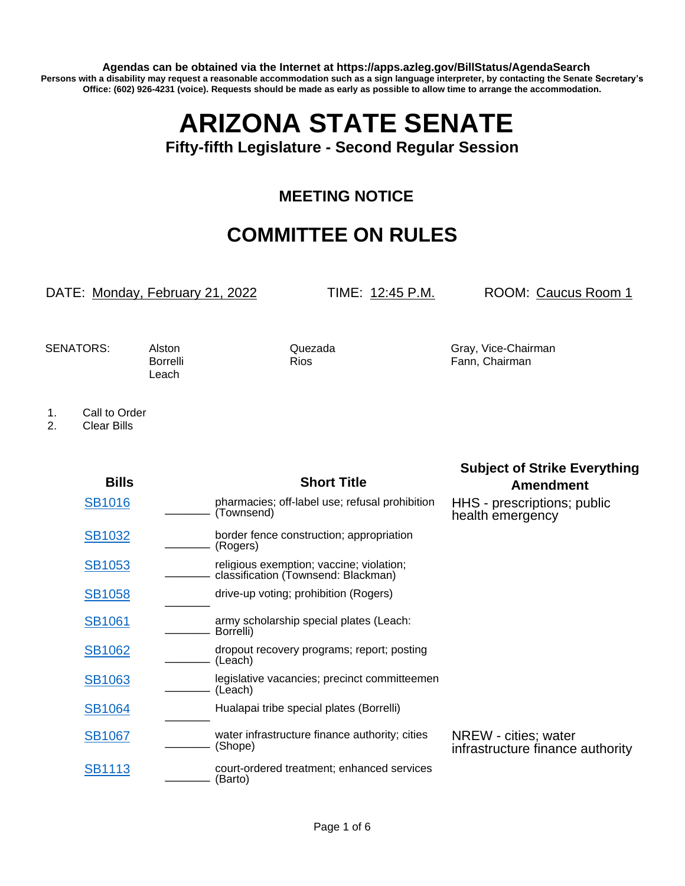**Agendas can be obtained via the Internet at https://apps.azleg.gov/BillStatus/AgendaSearch Persons with a disability may request a reasonable accommodation such as a sign language interpreter, by contacting the Senate Secretary's Office: (602) 926-4231 (voice). Requests should be made as early as possible to allow time to arrange the accommodation.**

## **ARIZONA STATE SENATE**

**Fifty-fifth Legislature - Second Regular Session**

## **MEETING NOTICE**

## **COMMITTEE ON RULES**

DATE: Monday, February 21, 2022 TIME: 12:45 P.M. ROOM: Caucus Room 1

**Subject of Strike Everything**

Leach

SENATORS: Alston Quezada Gray, Vice-Chairman Borrelli Rios Rios Fann, Chairman

1. Call to Order<br>2. Clear Bills

2. Clear Bills

| <b>Bills</b>  | <b>Short Title</b>                                                              | <b>Amendment</b>                                         |
|---------------|---------------------------------------------------------------------------------|----------------------------------------------------------|
| <b>SB1016</b> | pharmacies; off-label use; refusal prohibition<br>(Townsend)                    | HHS - prescriptions; public<br>health emergency          |
| <b>SB1032</b> | border fence construction; appropriation<br>(Rogers)                            |                                                          |
| <b>SB1053</b> | religious exemption; vaccine; violation;<br>classification (Townsend: Blackman) |                                                          |
| <b>SB1058</b> | drive-up voting; prohibition (Rogers)                                           |                                                          |
| <b>SB1061</b> | army scholarship special plates (Leach:<br>Borrelli)                            |                                                          |
| <b>SB1062</b> | dropout recovery programs; report; posting<br>(Leach)                           |                                                          |
| <b>SB1063</b> | legislative vacancies; precinct committeemen<br>(Leach)                         |                                                          |
| <b>SB1064</b> | Hualapai tribe special plates (Borrelli)                                        |                                                          |
| <b>SB1067</b> | water infrastructure finance authority; cities<br>(Shope)                       | NREW - cities; water<br>infrastructure finance authority |
| <b>SB1113</b> | court-ordered treatment; enhanced services<br>(Barto)                           |                                                          |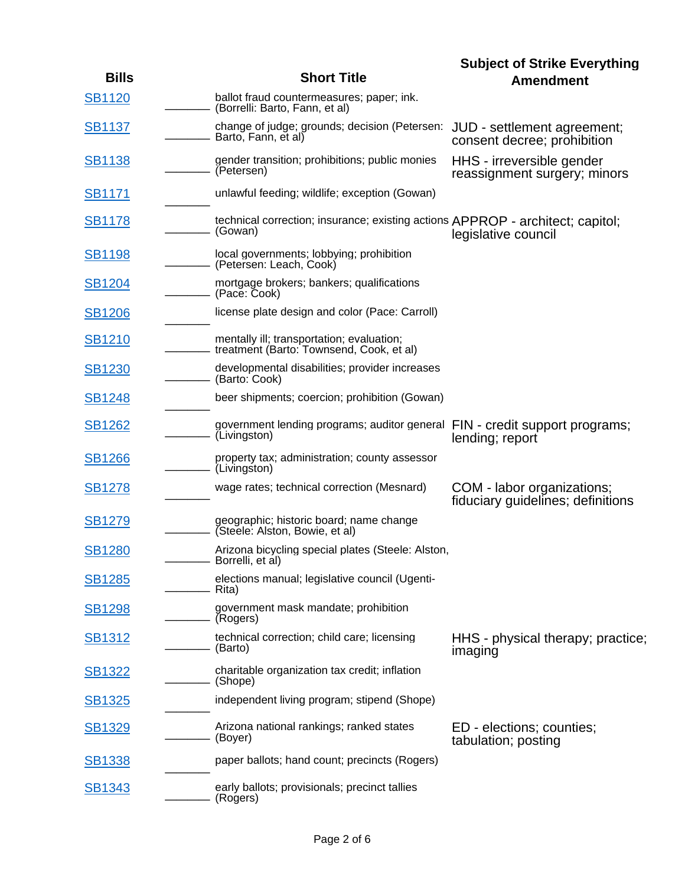|               |                                                                                                  | <b>Subject of Strike Everything</b>                             |
|---------------|--------------------------------------------------------------------------------------------------|-----------------------------------------------------------------|
| <b>Bills</b>  | <b>Short Title</b>                                                                               | <b>Amendment</b>                                                |
| <b>SB1120</b> | ballot fraud countermeasures; paper; ink.<br>(Borrelli: Barto, Fann, et al)                      |                                                                 |
| <b>SB1137</b> | change of judge; grounds; decision (Petersen: JUD - settlement agreement;<br>Barto, Fann, et al) | consent decree; prohibition                                     |
| <b>SB1138</b> | gender transition; prohibitions; public monies<br>(Petersen)                                     | HHS - irreversible gender<br>reassignment surgery; minors       |
| <b>SB1171</b> | unlawful feeding; wildlife; exception (Gowan)                                                    |                                                                 |
| <b>SB1178</b> | technical correction; insurance; existing actions APPROP - architect; capitol;<br>(Gowan)        | legislative council                                             |
| <b>SB1198</b> | local governments; lobbying; prohibition<br>(Petersen: Leach, Cook)                              |                                                                 |
| <b>SB1204</b> | mortgage brokers; bankers; qualifications<br>(Pace: Cook)                                        |                                                                 |
| <b>SB1206</b> | license plate design and color (Pace: Carroll)                                                   |                                                                 |
| <b>SB1210</b> | mentally ill; transportation; evaluation;<br>treatment (Barto: Townsend, Cook, et al)            |                                                                 |
| <b>SB1230</b> | developmental disabilities; provider increases<br>(Barto: Cook)                                  |                                                                 |
| <b>SB1248</b> | beer shipments; coercion; prohibition (Gowan)                                                    |                                                                 |
| <b>SB1262</b> | government lending programs; auditor general FIN - credit support programs;<br>(Livingston)      | lending; report                                                 |
| <b>SB1266</b> | property tax; administration; county assessor<br>(Livingston)                                    |                                                                 |
| <b>SB1278</b> | wage rates; technical correction (Mesnard)                                                       | COM - labor organizations;<br>fiduciary guidelines; definitions |
| <b>SB1279</b> | geographic; historic board; name change<br>(Steele: Alston, Bowie, et al)                        |                                                                 |
| <b>SB1280</b> | Arizona bicycling special plates (Steele: Alston,<br>- Borrelli, et al)                          |                                                                 |
| <u>SB1285</u> | elections manual; legislative council (Ugenti-<br>Rita)                                          |                                                                 |
| <u>SB1298</u> | government mask mandate; prohibition<br>(Rogers)                                                 |                                                                 |
| <b>SB1312</b> | technical correction; child care; licensing<br>(Barto)                                           | HHS - physical therapy; practice;<br>imaging                    |
| <b>SB1322</b> | charitable organization tax credit; inflation<br>(Shope)                                         |                                                                 |
| <u>SB1325</u> | independent living program; stipend (Shope)                                                      |                                                                 |
| <b>SB1329</b> | Arizona national rankings; ranked states<br>(Boyer)                                              | ED - elections; counties;<br>tabulation; posting                |
| <b>SB1338</b> | paper ballots; hand count; precincts (Rogers)                                                    |                                                                 |
| <b>SB1343</b> | early ballots; provisionals; precinct tallies<br>(Rogers)                                        |                                                                 |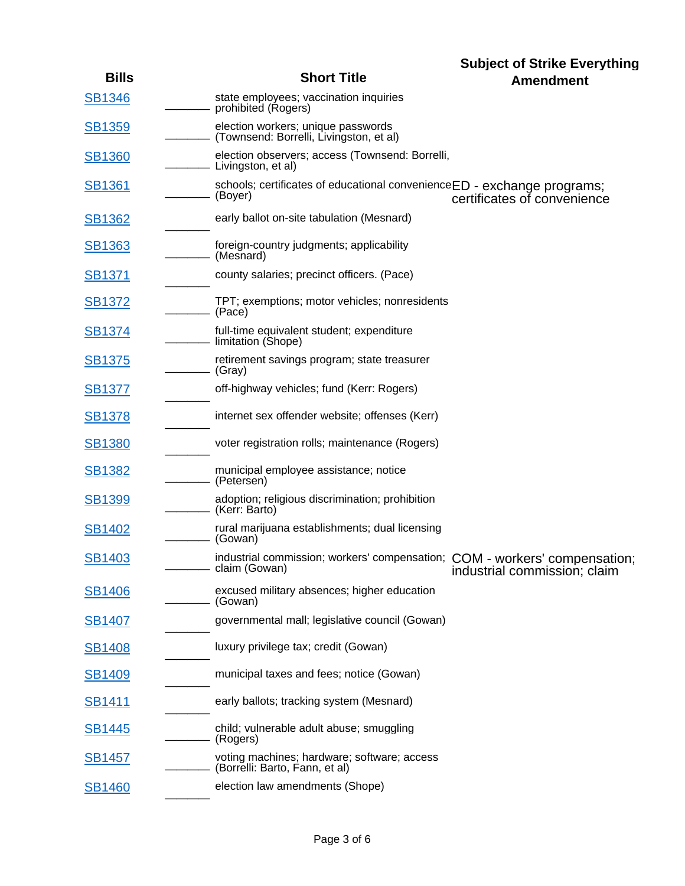| <b>Bills</b>  | <b>Short Title</b>                                                                          | <b>Subject of Strike Everything</b> |
|---------------|---------------------------------------------------------------------------------------------|-------------------------------------|
| <b>SB1346</b> | state employees; vaccination inquiries                                                      | <b>Amendment</b>                    |
|               | prohibited (Rogers)                                                                         |                                     |
| <b>SB1359</b> | election workers; unique passwords<br>- (Townsend: Borrelli, Livingston, et al)             |                                     |
| <b>SB1360</b> | election observers; access (Townsend: Borrelli,<br>Livingston, et al)                       |                                     |
| <b>SB1361</b> | schools; certificates of educational convenienceED - exchange programs;<br>(Boyer)          | certificates of convenience         |
| <b>SB1362</b> | early ballot on-site tabulation (Mesnard)                                                   |                                     |
| SB1363        | foreign-country judgments; applicability<br>(Mesnard)                                       |                                     |
| <b>SB1371</b> | county salaries; precinct officers. (Pace)                                                  |                                     |
| <b>SB1372</b> | TPT; exemptions; motor vehicles; nonresidents<br>(Pace)                                     |                                     |
| <u>SB1374</u> | full-time equivalent student; expenditure<br>limitation (Shope)                             |                                     |
| <b>SB1375</b> | retirement savings program; state treasurer<br>– (Gray)                                     |                                     |
| <b>SB1377</b> | off-highway vehicles; fund (Kerr: Rogers)                                                   |                                     |
| <u>SB1378</u> | internet sex offender website; offenses (Kerr)                                              |                                     |
| <b>SB1380</b> | voter registration rolls; maintenance (Rogers)                                              |                                     |
| <b>SB1382</b> | municipal employee assistance; notice<br>- (Petersen)                                       |                                     |
| <b>SB1399</b> | adoption; religious discrimination; prohibition<br>(Kerr: Barto)                            |                                     |
| <b>SB1402</b> | rural marijuana establishments; dual licensing<br>(Gowan)                                   |                                     |
| <b>SB1403</b> | industrial commission; workers' compensation; COM - workers' compensation;<br>claim (Gowan) | industrial commission; claim        |
| <b>SB1406</b> | excused military absences; higher education<br>(Gowan)                                      |                                     |
| <b>SB1407</b> | governmental mall; legislative council (Gowan)                                              |                                     |
| <b>SB1408</b> | luxury privilege tax; credit (Gowan)                                                        |                                     |
| <b>SB1409</b> | municipal taxes and fees; notice (Gowan)                                                    |                                     |
| <u>SB1411</u> | early ballots; tracking system (Mesnard)                                                    |                                     |
| <b>SB1445</b> | child; vulnerable adult abuse; smuggling<br>(Rogers)                                        |                                     |
| <b>SB1457</b> | voting machines; hardware; software; access<br>(Borrelli: Barto, Fann, et al)               |                                     |
| <b>SB1460</b> | election law amendments (Shope)                                                             |                                     |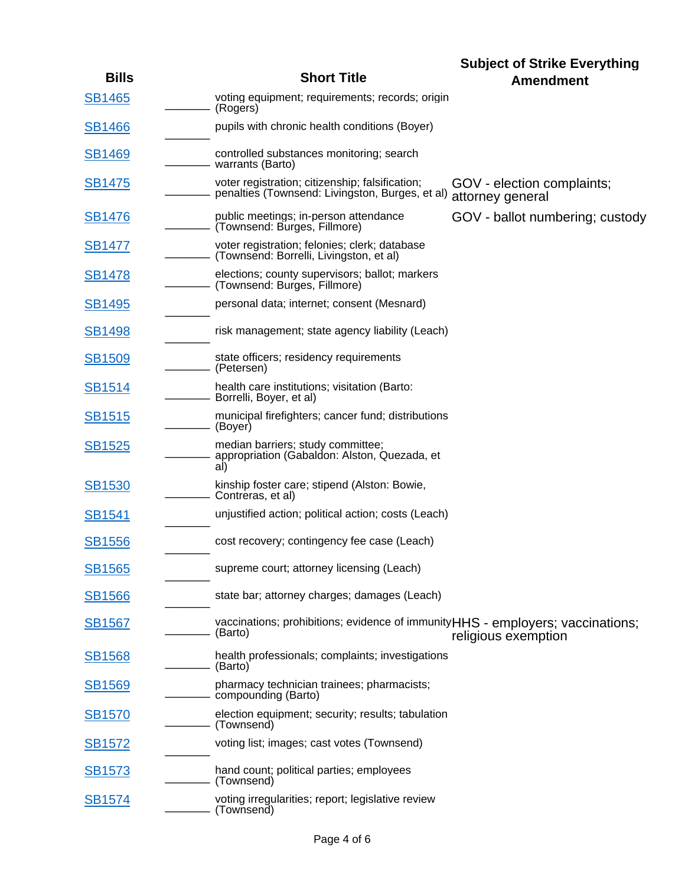|               |                                                                                                    | <b>Subject of Strike Everything</b>            |
|---------------|----------------------------------------------------------------------------------------------------|------------------------------------------------|
| <b>Bills</b>  | <b>Short Title</b>                                                                                 | <b>Amendment</b>                               |
| <b>SB1465</b> | voting equipment; requirements; records; origin<br>(Rogers)                                        |                                                |
| <b>SB1466</b> | pupils with chronic health conditions (Boyer)                                                      |                                                |
| <b>SB1469</b> | controlled substances monitoring; search<br>- warrants (Barto)                                     |                                                |
| <b>SB1475</b> | voter registration; citizenship; falsification;<br>penalties (Townsend: Livingston, Burges, et al) | GOV - election complaints;<br>attorney general |
| <b>SB1476</b> | public meetings; in-person attendance<br>(Townsend: Burges, Fillmore)                              | GOV - ballot numbering; custody                |
| <b>SB1477</b> | voter registration; felonies; clerk; database<br>(Townsend: Borrelli, Livingston, et al)           |                                                |
| <b>SB1478</b> | elections; county supervisors; ballot; markers<br>(Townsend: Burges, Fillmore)                     |                                                |
| <b>SB1495</b> | personal data; internet; consent (Mesnard)                                                         |                                                |
| <b>SB1498</b> | risk management; state agency liability (Leach)                                                    |                                                |
| <b>SB1509</b> | state officers; residency requirements<br>(Petersen)                                               |                                                |
| <u>SB1514</u> | health care institutions; visitation (Barto:<br>- Borrelli, Boyer, et al)                          |                                                |
| <u>SB1515</u> | municipal firefighters; cancer fund; distributions<br>(Boyer)                                      |                                                |
| <b>SB1525</b> | median barriers; study committee;<br>appropriation (Gabaldon: Alston, Quezada, et<br>al)           |                                                |
| <b>SB1530</b> | kinship foster care; stipend (Alston: Bowie,<br>Contreras, et al)                                  |                                                |
| <b>SB1541</b> | unjustified action; political action; costs (Leach)                                                |                                                |
| <b>SB1556</b> | cost recovery; contingency fee case (Leach)                                                        |                                                |
| <b>SB1565</b> | supreme court; attorney licensing (Leach)                                                          |                                                |
| <b>SB1566</b> | state bar; attorney charges; damages (Leach)                                                       |                                                |
| <b>SB1567</b> | vaccinations; prohibitions; evidence of immunityHHS - employers; vaccinations;<br>(Barto)          | religious exemption                            |
| <b>SB1568</b> | health professionals; complaints; investigations<br>(Barto)                                        |                                                |
| <b>SB1569</b> | pharmacy technician trainees; pharmacists;<br>- compounding (Barto)                                |                                                |
| <u>SB1570</u> | election equipment; security; results; tabulation<br>(Townsend)                                    |                                                |
| <u>SB1572</u> | voting list; images; cast votes (Townsend)                                                         |                                                |
| <u>SB1573</u> | hand count; political parties; employees<br>(Townsend)                                             |                                                |
| <u>SB1574</u> | voting irregularities; report; legislative review<br>(Townsend)                                    |                                                |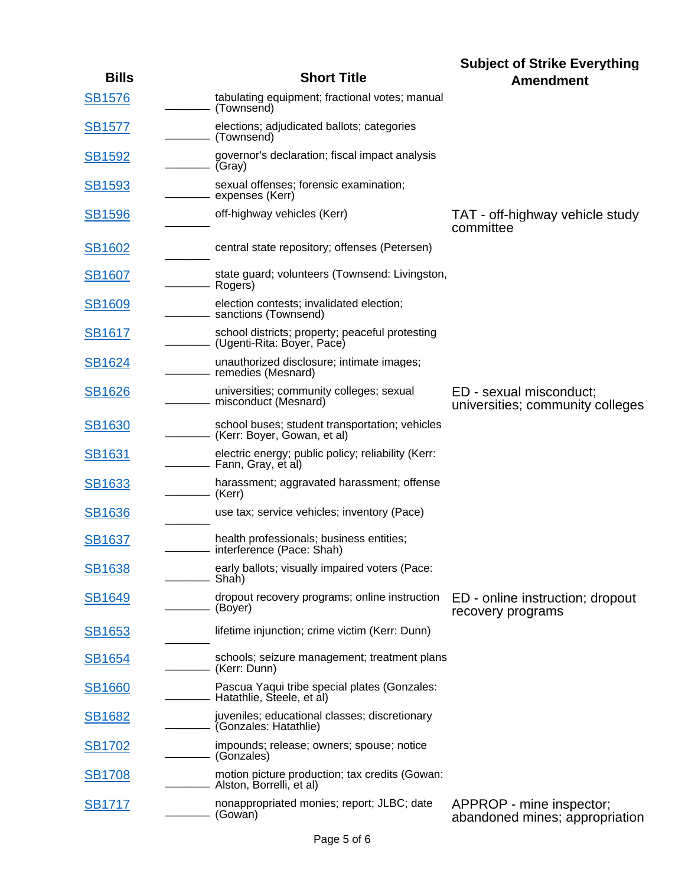| <b>Bills</b>  | <b>Short Title</b>                                                              | <b>Subject of Strike Everything</b><br><b>Amendment</b>     |
|---------------|---------------------------------------------------------------------------------|-------------------------------------------------------------|
| <b>SB1576</b> | tabulating equipment; fractional votes; manual<br>(Townsend)                    |                                                             |
| <b>SB1577</b> | elections; adjudicated ballots; categories<br>(Townsend)                        |                                                             |
| <b>SB1592</b> | governor's declaration; fiscal impact analysis<br>(Gray)                        |                                                             |
| <b>SB1593</b> | sexual offenses; forensic examination;<br>expenses (Kerr)                       |                                                             |
| <b>SB1596</b> | off-highway vehicles (Kerr)                                                     | TAT - off-highway vehicle study<br>committee                |
| <b>SB1602</b> | central state repository; offenses (Petersen)                                   |                                                             |
| <b>SB1607</b> | state guard; volunteers (Townsend: Livingston,<br>Rogers)                       |                                                             |
| <b>SB1609</b> | election contests; invalidated election;<br>- sanctions (Townsend)              |                                                             |
| <b>SB1617</b> | school districts; property; peaceful protesting<br>(Ugenti-Rita: Boyer, Pace)   |                                                             |
| <b>SB1624</b> | unauthorized disclosure; intimate images;<br>- remedies (Mesnard)               |                                                             |
| <b>SB1626</b> | universities; community colleges; sexual<br>- misconduct (Mesnard)              | ED - sexual misconduct;<br>universities; community colleges |
| <b>SB1630</b> | school buses; student transportation; vehicles<br>- (Kerr: Boyer, Gowan, et al) |                                                             |
| SB1631        | electric energy; public policy; reliability (Kerr:<br>- Fann, Gray, et al)      |                                                             |
| <b>SB1633</b> | harassment; aggravated harassment; offense<br>– (Kerr)                          |                                                             |
| <b>SB1636</b> | use tax; service vehicles; inventory (Pace)                                     |                                                             |
| <b>SB1637</b> | health professionals; business entities;<br>interference (Pace: Shah)           |                                                             |
| <b>SB1638</b> | early ballots; visually impaired voters (Pace:<br>Shah)                         |                                                             |
| <b>SB1649</b> | dropout recovery programs; online instruction<br>(Boyer)                        | ED - online instruction; dropout<br>recovery programs       |
| <b>SB1653</b> | lifetime injunction; crime victim (Kerr: Dunn)                                  |                                                             |
| <b>SB1654</b> | schools; seizure management; treatment plans<br>- (Kerr: Dunn)                  |                                                             |
| <b>SB1660</b> | Pascua Yaqui tribe special plates (Gonzales:<br>Hatathlie, Steele, et al)       |                                                             |
| <b>SB1682</b> | juveniles; educational classes; discretionary<br>(Gonzales: Hatathlie)          |                                                             |
| <b>SB1702</b> | impounds; release; owners; spouse; notice<br>- (Gonzales)                       |                                                             |
| <b>SB1708</b> | motion picture production; tax credits (Gowan:<br>- Alston, Borrelli, et al)    |                                                             |
| <b>SB1717</b> | nonappropriated monies; report; JLBC; date<br>(Gowan)                           | APPROP - mine inspector;<br>abandoned mines; appropriation  |